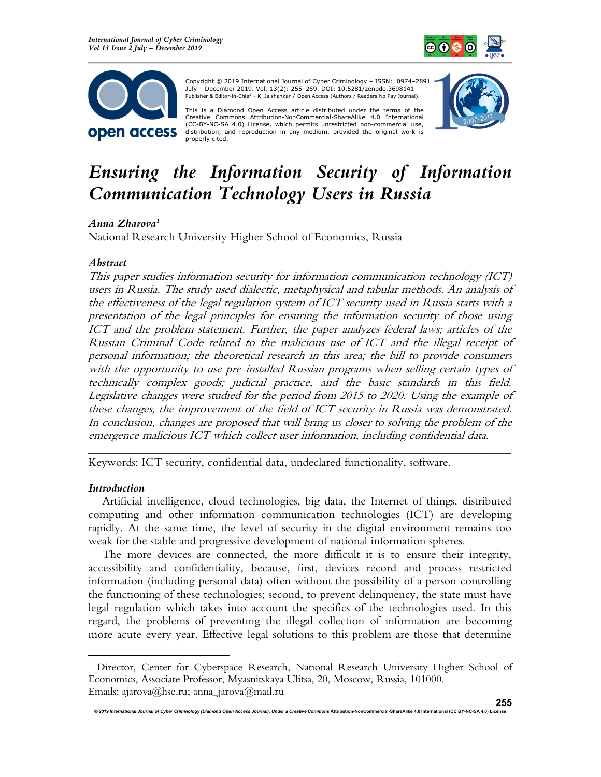



Copyright © 2019 International Journal of Cyber Criminology – ISSN: 0974–2891 July – December 2019. Vol. 13(2): 255–269. DOI: 10.5281/zenodo.3698141 Publisher & Editor-in-Chief – K. Jaishankar / Open Access (Authors / Readers No Pay Journal).

This is a Diamond Open Access article distributed under the terms of the Creative Commons Attribution-NonCommercial-ShareAlike 4.0 International (CC-BY-NC-SA 4.0) License, which permits unrestricted non-commercial use, distribution, and reproduction in any medium, provided the original work is properly cited.



# Ensuring the Information Security of Information Communication Technology Users in Russia

# Anna Zharova<sup>1</sup>

National Research University Higher School of Economics, Russia

## Abstract

This paper studies information security for information communication technology (ICT) users in Russia. The study used dialectic, metaphysical and tabular methods. An analysis of the effectiveness of the legal regulation system of ICT security used in Russia starts with a presentation of the legal principles for ensuring the information security of those using ICT and the problem statement. Further, the paper analyzes federal laws; articles of the Russian Criminal Code related to the malicious use of ICT and the illegal receipt of personal information; the theoretical research in this area; the bill to provide consumers with the opportunity to use pre-installed Russian programs when selling certain types of technically complex goods; judicial practice, and the basic standards in this field. Legislative changes were studied for the period from 2015 to 2020. Using the example of these changes, the improvement of the field of ICT security in Russia was demonstrated. In conclusion, changes are proposed that will bring us closer to solving the problem of the emergence malicious ICT which collect user information, including confidential data.

Keywords: ICT security, confidential data, undeclared functionality, software.

### Introduction

Artificial intelligence, cloud technologies, big data, the Internet of things, distributed computing and other information communication technologies (ICT) are developing rapidly. At the same time, the level of security in the digital environment remains too weak for the stable and progressive development of national information spheres.

\_\_\_\_\_\_\_\_\_\_\_\_\_\_\_\_\_\_\_\_\_\_\_\_\_\_\_\_\_\_\_\_\_\_\_\_\_\_\_\_\_\_\_\_\_\_\_\_\_\_\_\_\_\_\_\_\_\_\_\_\_\_\_\_\_\_\_\_\_\_\_\_

The more devices are connected, the more difficult it is to ensure their integrity, accessibility and confidentiality, because, first, devices record and process restricted information (including personal data) often without the possibility of a person controlling the functioning of these technologies; second, to prevent delinquency, the state must have legal regulation which takes into account the specifics of the technologies used. In this regard, the problems of preventing the illegal collection of information are becoming more acute every year. Effective legal solutions to this problem are those that determine

<sup>&</sup>lt;sup>1</sup> Director, Center for Cyberspace Research, National Research University Higher School of Economics, Associate Professor, Myasnitskaya Ulitsa, 20, Moscow, Russia, 101000. Emails: ajarova@hse.ru; anna\_jarova@mail.ru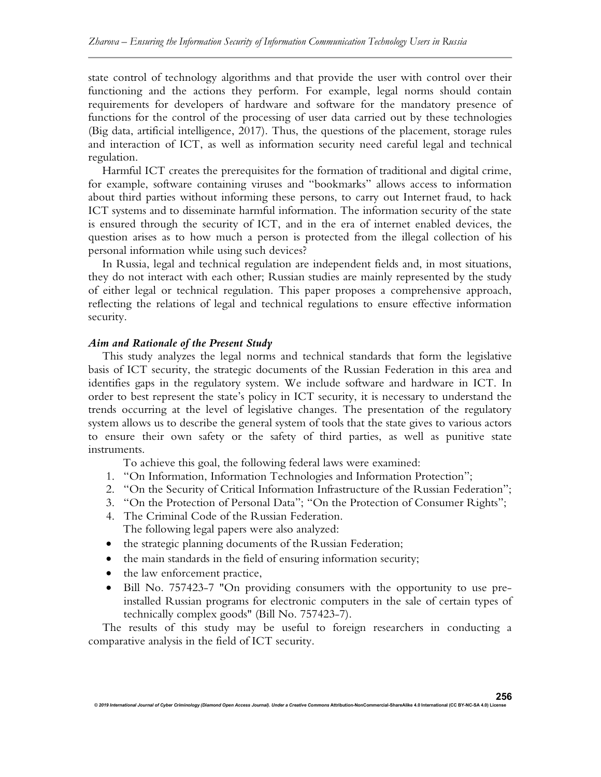state control of technology algorithms and that provide the user with control over their functioning and the actions they perform. For example, legal norms should contain requirements for developers of hardware and software for the mandatory presence of functions for the control of the processing of user data carried out by these technologies (Big data, artificial intelligence, 2017). Thus, the questions of the placement, storage rules and interaction of ICT, as well as information security need careful legal and technical regulation.

Harmful ICT creates the prerequisites for the formation of traditional and digital crime, for example, software containing viruses and "bookmarks" allows access to information about third parties without informing these persons, to carry out Internet fraud, to hack ICT systems and to disseminate harmful information. The information security of the state is ensured through the security of ICT, and in the era of internet enabled devices, the question arises as to how much a person is protected from the illegal collection of his personal information while using such devices?

In Russia, legal and technical regulation are independent fields and, in most situations, they do not interact with each other; Russian studies are mainly represented by the study of either legal or technical regulation. This paper proposes a comprehensive approach, reflecting the relations of legal and technical regulations to ensure effective information security.

### Aim and Rationale of the Present Study

This study analyzes the legal norms and technical standards that form the legislative basis of ICT security, the strategic documents of the Russian Federation in this area and identifies gaps in the regulatory system. We include software and hardware in ICT. In order to best represent the state's policy in ICT security, it is necessary to understand the trends occurring at the level of legislative changes. The presentation of the regulatory system allows us to describe the general system of tools that the state gives to various actors to ensure their own safety or the safety of third parties, as well as punitive state instruments.

To achieve this goal, the following federal laws were examined:

- 1. "On Information, Information Technologies and Information Protection";
- 2. "On the Security of Critical Information Infrastructure of the Russian Federation";
- 3. "On the Protection of Personal Data"; "On the Protection of Consumer Rights";
- 4. The Criminal Code of the Russian Federation. The following legal papers were also analyzed:
- the strategic planning documents of the Russian Federation;
- the main standards in the field of ensuring information security;
- the law enforcement practice,
- Bill No. 757423-7 "On providing consumers with the opportunity to use preinstalled Russian programs for electronic computers in the sale of certain types of technically complex goods" (Bill No. 757423-7).

The results of this study may be useful to foreign researchers in conducting a comparative analysis in the field of ICT security.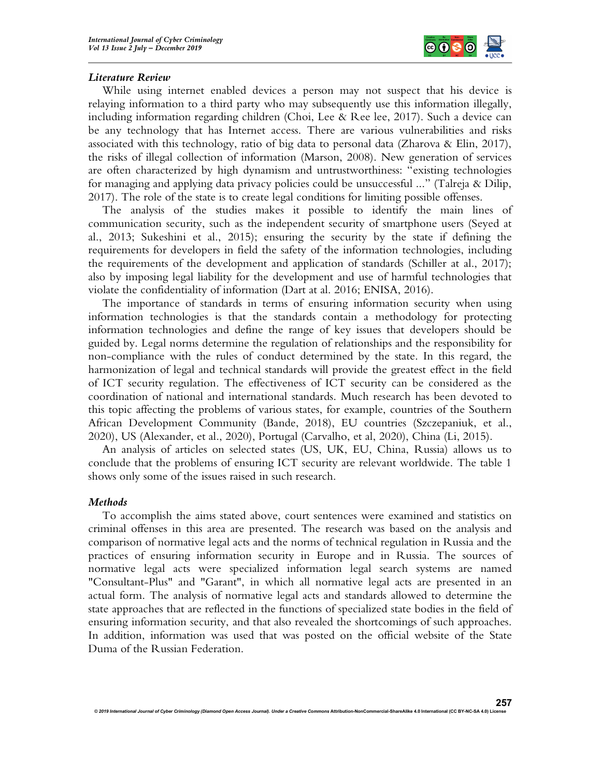

### Literature Review

While using internet enabled devices a person may not suspect that his device is relaying information to a third party who may subsequently use this information illegally, including information regarding children (Choi, Lee & Ree lee, 2017). Such a device can be any technology that has Internet access. There are various vulnerabilities and risks associated with this technology, ratio of big data to personal data (Zharova & Elin, 2017), the risks of illegal collection of information (Marson, 2008). New generation of services are often characterized by high dynamism and untrustworthiness: "existing technologies for managing and applying data privacy policies could be unsuccessful ..." (Talreja & Dilip, 2017). The role of the state is to create legal conditions for limiting possible offenses.

The analysis of the studies makes it possible to identify the main lines of communication security, such as the independent security of smartphone users (Seyed at al., 2013; Sukeshini et al., 2015); ensuring the security by the state if defining the requirements for developers in field the safety of the information technologies, including the requirements of the development and application of standards (Schiller at al., 2017); also by imposing legal liability for the development and use of harmful technologies that violate the confidentiality of information (Dart at al. 2016; ENISA, 2016).

The importance of standards in terms of ensuring information security when using information technologies is that the standards contain a methodology for protecting information technologies and define the range of key issues that developers should be guided by. Legal norms determine the regulation of relationships and the responsibility for non-compliance with the rules of conduct determined by the state. In this regard, the harmonization of legal and technical standards will provide the greatest effect in the field of ICT security regulation. The effectiveness of ICT security can be considered as the coordination of national and international standards. Much research has been devoted to this topic affecting the problems of various states, for example, countries of the Southern African Development Community (Bande, 2018), EU countries (Szczepaniuk, et al., 2020), US (Alexander, et al., 2020), Portugal (Carvalho, et al, 2020), China (Li, 2015).

An analysis of articles on selected states (US, UK, EU, China, Russia) allows us to conclude that the problems of ensuring ICT security are relevant worldwide. The table 1 shows only some of the issues raised in such research.

#### Methods

To accomplish the aims stated above, court sentences were examined and statistics on criminal offenses in this area are presented. The research was based on the analysis and comparison of normative legal acts and the norms of technical regulation in Russia and the practices of ensuring information security in Europe and in Russia. The sources of normative legal acts were specialized information legal search systems are named "Consultant-Plus" and "Garant", in which all normative legal acts are presented in an actual form. The analysis of normative legal acts and standards allowed to determine the state approaches that are reflected in the functions of specialized state bodies in the field of ensuring information security, and that also revealed the shortcomings of such approaches. In addition, information was used that was posted on the official website of the State Duma of the Russian Federation.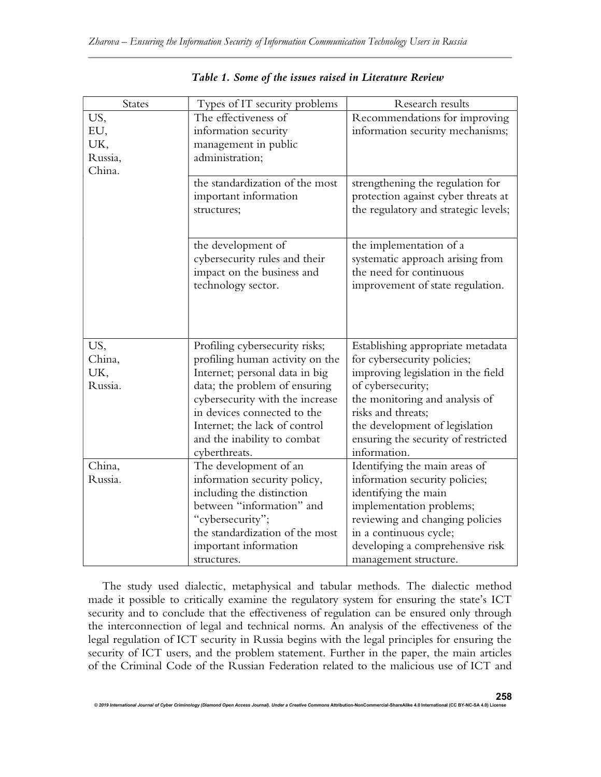| States  | Types of IT security problems                            | Research results                                                        |
|---------|----------------------------------------------------------|-------------------------------------------------------------------------|
| US,     | The effectiveness of                                     | Recommendations for improving                                           |
| EU,     | information security                                     | information security mechanisms;                                        |
| UK,     | management in public                                     |                                                                         |
| Russia, | administration;                                          |                                                                         |
| China.  |                                                          |                                                                         |
|         | the standardization of the most<br>important information | strengthening the regulation for<br>protection against cyber threats at |
|         | structures;                                              | the regulatory and strategic levels;                                    |
|         | the development of                                       | the implementation of a                                                 |
|         | cybersecurity rules and their                            | systematic approach arising from                                        |
|         | impact on the business and                               | the need for continuous                                                 |
|         | technology sector.                                       | improvement of state regulation.                                        |
|         |                                                          |                                                                         |
|         |                                                          |                                                                         |
|         |                                                          |                                                                         |
| US,     | Profiling cybersecurity risks;                           | Establishing appropriate metadata                                       |
| China,  | profiling human activity on the                          | for cybersecurity policies;                                             |
| UK,     | Internet; personal data in big                           | improving legislation in the field                                      |
| Russia. | data; the problem of ensuring                            | of cybersecurity;                                                       |
|         | cybersecurity with the increase                          | the monitoring and analysis of                                          |
|         | in devices connected to the                              | risks and threats;                                                      |
|         | Internet; the lack of control                            | the development of legislation                                          |
|         | and the inability to combat                              | ensuring the security of restricted                                     |
|         | cyberthreats.                                            | information.                                                            |
| China,  | The development of an                                    | Identifying the main areas of                                           |
| Russia. | information security policy,                             | information security policies;                                          |
|         | including the distinction                                | identifying the main                                                    |
|         | between "information" and                                | implementation problems;                                                |
|         | "cybersecurity";                                         | reviewing and changing policies                                         |
|         | the standardization of the most                          | in a continuous cycle;                                                  |
|         | important information                                    | developing a comprehensive risk                                         |
|         | structures.                                              | management structure.                                                   |

Table 1. Some of the issues raised in Literature Review

The study used dialectic, metaphysical and tabular methods. The dialectic method made it possible to critically examine the regulatory system for ensuring the state's ICT security and to conclude that the effectiveness of regulation can be ensured only through the interconnection of legal and technical norms. An analysis of the effectiveness of the legal regulation of ICT security in Russia begins with the legal principles for ensuring the security of ICT users, and the problem statement. Further in the paper, the main articles of the Criminal Code of the Russian Federation related to the malicious use of ICT and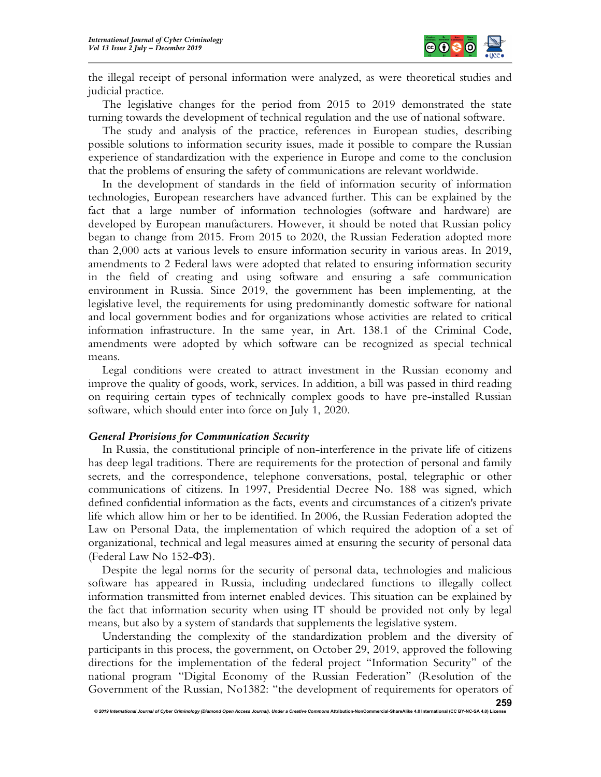

the illegal receipt of personal information were analyzed, as were theoretical studies and judicial practice.

The legislative changes for the period from 2015 to 2019 demonstrated the state turning towards the development of technical regulation and the use of national software.

The study and analysis of the practice, references in European studies, describing possible solutions to information security issues, made it possible to compare the Russian experience of standardization with the experience in Europe and come to the conclusion that the problems of ensuring the safety of communications are relevant worldwide.

In the development of standards in the field of information security of information technologies, European researchers have advanced further. This can be explained by the fact that a large number of information technologies (software and hardware) are developed by European manufacturers. However, it should be noted that Russian policy began to change from 2015. From 2015 to 2020, the Russian Federation adopted more than 2,000 acts at various levels to ensure information security in various areas. In 2019, amendments to 2 Federal laws were adopted that related to ensuring information security in the field of creating and using software and ensuring a safe communication environment in Russia. Since 2019, the government has been implementing, at the legislative level, the requirements for using predominantly domestic software for national and local government bodies and for organizations whose activities are related to critical information infrastructure. In the same year, in Art. 138.1 of the Criminal Code, amendments were adopted by which software can be recognized as special technical means.

Legal conditions were created to attract investment in the Russian economy and improve the quality of goods, work, services. In addition, a bill was passed in third reading on requiring certain types of technically complex goods to have pre-installed Russian software, which should enter into force on July 1, 2020.

### General Provisions for Communication Security

In Russia, the constitutional principle of non-interference in the private life of citizens has deep legal traditions. There are requirements for the protection of personal and family secrets, and the correspondence, telephone conversations, postal, telegraphic or other communications of citizens. In 1997, Presidential Decree No. 188 was signed, which defined confidential information as the facts, events and circumstances of a citizen's private life which allow him or her to be identified. In 2006, the Russian Federation adopted the Law on Personal Data, the implementation of which required the adoption of a set of organizational, technical and legal measures aimed at ensuring the security of personal data (Federal Law No 152-ФЗ).

Despite the legal norms for the security of personal data, technologies and malicious software has appeared in Russia, including undeclared functions to illegally collect information transmitted from internet enabled devices. This situation can be explained by the fact that information security when using IT should be provided not only by legal means, but also by a system of standards that supplements the legislative system.

Understanding the complexity of the standardization problem and the diversity of participants in this process, the government, on October 29, 2019, approved the following directions for the implementation of the federal project "Information Security" of the national program "Digital Economy of the Russian Federation" (Resolution of the Government of the Russian, No1382: "the development of requirements for operators of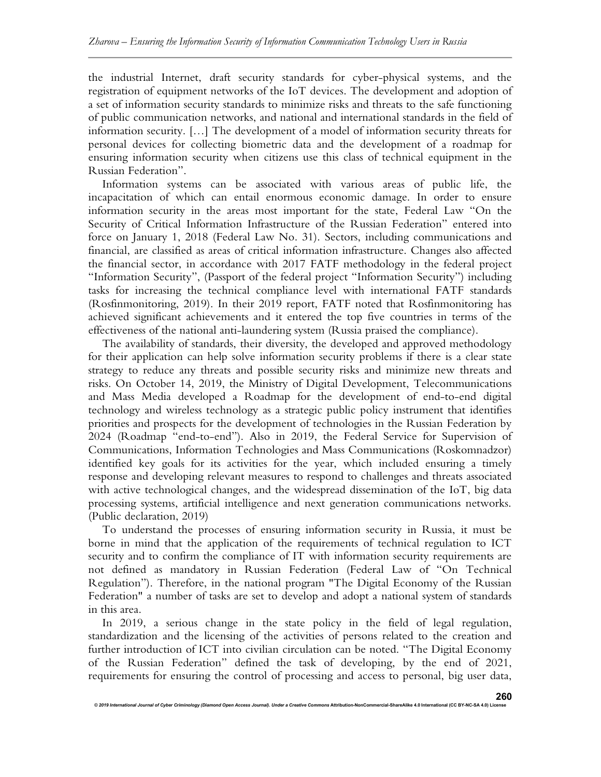the industrial Internet, draft security standards for cyber-physical systems, and the registration of equipment networks of the IoT devices. The development and adoption of a set of information security standards to minimize risks and threats to the safe functioning of public communication networks, and national and international standards in the field of information security. […] The development of a model of information security threats for personal devices for collecting biometric data and the development of a roadmap for ensuring information security when citizens use this class of technical equipment in the Russian Federation".

Information systems can be associated with various areas of public life, the incapacitation of which can entail enormous economic damage. In order to ensure information security in the areas most important for the state, Federal Law "On the Security of Critical Information Infrastructure of the Russian Federation" entered into force on January 1, 2018 (Federal Law No. 31). Sectors, including communications and financial, are classified as areas of critical information infrastructure. Changes also affected the financial sector, in accordance with 2017 FATF methodology in the federal project "Information Security", (Passport of the federal project "Information Security") including tasks for increasing the technical compliance level with international FATF standards (Rosfinmonitoring, 2019). In their 2019 report, FATF noted that Rosfinmonitoring has achieved significant achievements and it entered the top five countries in terms of the effectiveness of the national anti-laundering system (Russia praised the compliance).

The availability of standards, their diversity, the developed and approved methodology for their application can help solve information security problems if there is a clear state strategy to reduce any threats and possible security risks and minimize new threats and risks. On October 14, 2019, the Ministry of Digital Development, Telecommunications and Mass Media developed a Roadmap for the development of end-to-end digital technology and wireless technology as a strategic public policy instrument that identifies priorities and prospects for the development of technologies in the Russian Federation by 2024 (Roadmap "end-to-end"). Also in 2019, the Federal Service for Supervision of Communications, Information Technologies and Mass Communications (Roskomnadzor) identified key goals for its activities for the year, which included ensuring a timely response and developing relevant measures to respond to challenges and threats associated with active technological changes, and the widespread dissemination of the IoT, big data processing systems, artificial intelligence and next generation communications networks. (Public declaration, 2019)

To understand the processes of ensuring information security in Russia, it must be borne in mind that the application of the requirements of technical regulation to ICT security and to confirm the compliance of IT with information security requirements are not defined as mandatory in Russian Federation (Federal Law of "On Technical Regulation"). Therefore, in the national program "The Digital Economy of the Russian Federation" a number of tasks are set to develop and adopt a national system of standards in this area.

In 2019, a serious change in the state policy in the field of legal regulation, standardization and the licensing of the activities of persons related to the creation and further introduction of ICT into civilian circulation can be noted. "The Digital Economy of the Russian Federation" defined the task of developing, by the end of 2021, requirements for ensuring the control of processing and access to personal, big user data,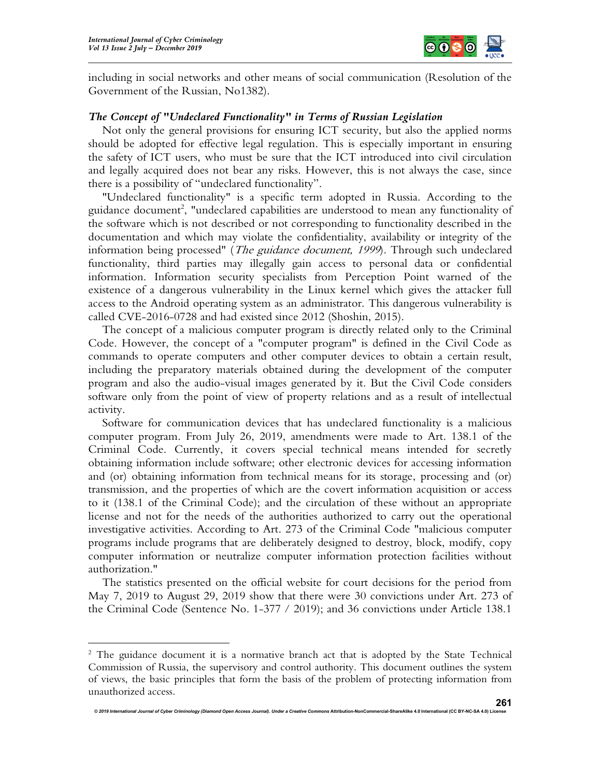

including in social networks and other means of social communication (Resolution of the Government of the Russian, No1382).

## The Concept of "Undeclared Functionality" in Terms of Russian Legislation

Not only the general provisions for ensuring ICT security, but also the applied norms should be adopted for effective legal regulation. This is especially important in ensuring the safety of ICT users, who must be sure that the ICT introduced into civil circulation and legally acquired does not bear any risks. However, this is not always the case, since there is a possibility of "undeclared functionality".

"Undeclared functionality" is a specific term adopted in Russia. According to the guidance document<sup>2</sup>, "undeclared capabilities are understood to mean any functionality of the software which is not described or not corresponding to functionality described in the documentation and which may violate the confidentiality, availability or integrity of the information being processed" (*The guidance document*, 1999). Through such undeclared functionality, third parties may illegally gain access to personal data or confidential information. Information security specialists from Perception Point warned of the existence of a dangerous vulnerability in the Linux kernel which gives the attacker full access to the Android operating system as an administrator. This dangerous vulnerability is called CVE-2016-0728 and had existed since 2012 (Shoshin, 2015).

The concept of a malicious computer program is directly related only to the Criminal Code. However, the concept of a "computer program" is defined in the Civil Code as commands to operate computers and other computer devices to obtain a certain result, including the preparatory materials obtained during the development of the computer program and also the audio-visual images generated by it. But the Civil Code considers software only from the point of view of property relations and as a result of intellectual activity.

Software for communication devices that has undeclared functionality is a malicious computer program. From July 26, 2019, amendments were made to Art. 138.1 of the Criminal Code. Currently, it covers special technical means intended for secretly obtaining information include software; other electronic devices for accessing information and (or) obtaining information from technical means for its storage, processing and (or) transmission, and the properties of which are the covert information acquisition or access to it (138.1 of the Criminal Code); and the circulation of these without an appropriate license and not for the needs of the authorities authorized to carry out the operational investigative activities. According to Art. 273 of the Criminal Code "malicious computer programs include programs that are deliberately designed to destroy, block, modify, copy computer information or neutralize computer information protection facilities without authorization."

The statistics presented on the official website for court decisions for the period from May 7, 2019 to August 29, 2019 show that there were 30 convictions under Art. 273 of the Criminal Code (Sentence No. 1-377 / 2019); and 36 convictions under Article 138.1

<sup>&</sup>lt;sup>2</sup> The guidance document it is a normative branch act that is adopted by the State Technical Commission of Russia, the supervisory and control authority. This document outlines the system of views, the basic principles that form the basis of the problem of protecting information from unauthorized access.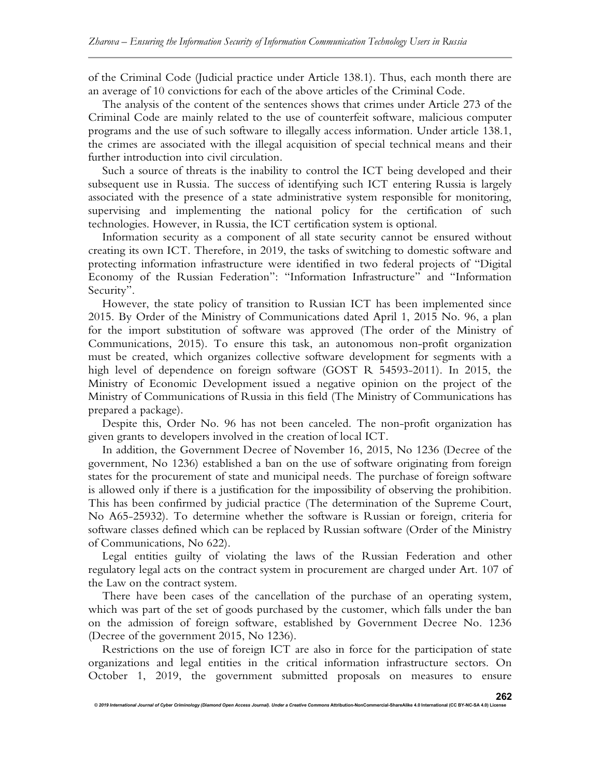of the Criminal Code (Judicial practice under Article 138.1). Thus, each month there are an average of 10 convictions for each of the above articles of the Criminal Code.

The analysis of the content of the sentences shows that crimes under Article 273 of the Criminal Code are mainly related to the use of counterfeit software, malicious computer programs and the use of such software to illegally access information. Under article 138.1, the crimes are associated with the illegal acquisition of special technical means and their further introduction into civil circulation.

Such a source of threats is the inability to control the ICT being developed and their subsequent use in Russia. The success of identifying such ICT entering Russia is largely associated with the presence of a state administrative system responsible for monitoring, supervising and implementing the national policy for the certification of such technologies. However, in Russia, the ICT certification system is optional.

Information security as a component of all state security cannot be ensured without creating its own ICT. Therefore, in 2019, the tasks of switching to domestic software and protecting information infrastructure were identified in two federal projects of "Digital Economy of the Russian Federation": "Information Infrastructure" and "Information Security".

However, the state policy of transition to Russian ICT has been implemented since 2015. By Order of the Ministry of Communications dated April 1, 2015 No. 96, a plan for the import substitution of software was approved (The order of the Ministry of Communications, 2015). To ensure this task, an autonomous non-profit organization must be created, which organizes collective software development for segments with a high level of dependence on foreign software (GOST R 54593-2011). In 2015, the Ministry of Economic Development issued a negative opinion on the project of the Ministry of Communications of Russia in this field (The Ministry of Communications has prepared a package).

Despite this, Order No. 96 has not been canceled. The non-profit organization has given grants to developers involved in the creation of local ICT.

In addition, the Government Decree of November 16, 2015, No 1236 (Decree of the government, No 1236) established a ban on the use of software originating from foreign states for the procurement of state and municipal needs. The purchase of foreign software is allowed only if there is a justification for the impossibility of observing the prohibition. This has been confirmed by judicial practice (The determination of the Supreme Court, No A65-25932). To determine whether the software is Russian or foreign, criteria for software classes defined which can be replaced by Russian software (Order of the Ministry of Communications, No 622).

Legal entities guilty of violating the laws of the Russian Federation and other regulatory legal acts on the contract system in procurement are charged under Art. 107 of the Law on the contract system.

There have been cases of the cancellation of the purchase of an operating system, which was part of the set of goods purchased by the customer, which falls under the ban on the admission of foreign software, established by Government Decree No. 1236 (Decree of the government 2015, No 1236).

Restrictions on the use of foreign ICT are also in force for the participation of state organizations and legal entities in the critical information infrastructure sectors. On October 1, 2019, the government submitted proposals on measures to ensure

© 2019 International Journal of Cyber Criminology (Diamond Open Access Journal). Under a Creative Commons Attribution-NonCommercial-ShareAlike 4.0 International (CC BY-NC-SA 4.0) License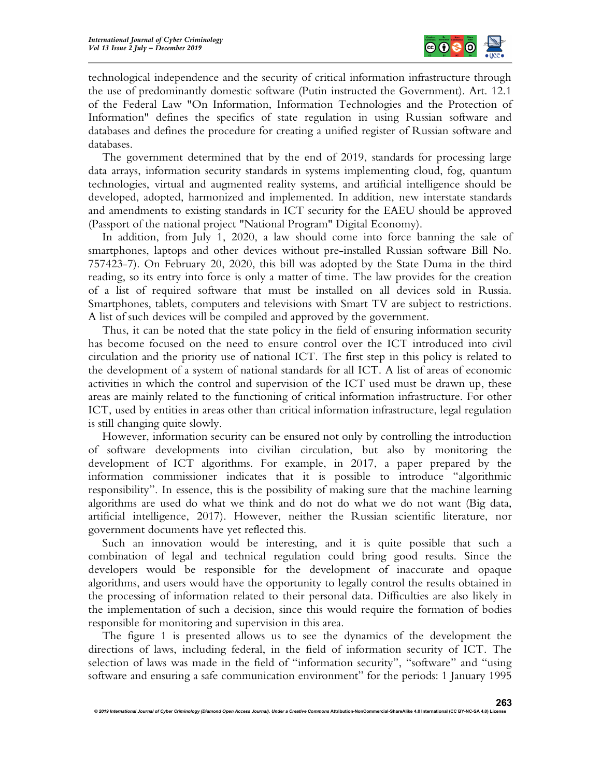

technological independence and the security of critical information infrastructure through the use of predominantly domestic software (Putin instructed the Government). Art. 12.1 of the Federal Law "On Information, Information Technologies and the Protection of Information" defines the specifics of state regulation in using Russian software and databases and defines the procedure for creating a unified register of Russian software and databases.

The government determined that by the end of 2019, standards for processing large data arrays, information security standards in systems implementing cloud, fog, quantum technologies, virtual and augmented reality systems, and artificial intelligence should be developed, adopted, harmonized and implemented. In addition, new interstate standards and amendments to existing standards in ICT security for the EAEU should be approved (Passport of the national project "National Program" Digital Economy).

In addition, from July 1, 2020, a law should come into force banning the sale of smartphones, laptops and other devices without pre-installed Russian software Bill No. 757423-7). On February 20, 2020, this bill was adopted by the State Duma in the third reading, so its entry into force is only a matter of time. The law provides for the creation of a list of required software that must be installed on all devices sold in Russia. Smartphones, tablets, computers and televisions with Smart TV are subject to restrictions. A list of such devices will be compiled and approved by the government.

Thus, it can be noted that the state policy in the field of ensuring information security has become focused on the need to ensure control over the ICT introduced into civil circulation and the priority use of national ICT. The first step in this policy is related to the development of a system of national standards for all ICT. A list of areas of economic activities in which the control and supervision of the ICT used must be drawn up, these areas are mainly related to the functioning of critical information infrastructure. For other ICT, used by entities in areas other than critical information infrastructure, legal regulation is still changing quite slowly.

However, information security can be ensured not only by controlling the introduction of software developments into civilian circulation, but also by monitoring the development of ICT algorithms. For example, in 2017, a paper prepared by the information commissioner indicates that it is possible to introduce "algorithmic responsibility". In essence, this is the possibility of making sure that the machine learning algorithms are used do what we think and do not do what we do not want (Big data, artificial intelligence, 2017). However, neither the Russian scientific literature, nor government documents have yet reflected this.

Such an innovation would be interesting, and it is quite possible that such a combination of legal and technical regulation could bring good results. Since the developers would be responsible for the development of inaccurate and opaque algorithms, and users would have the opportunity to legally control the results obtained in the processing of information related to their personal data. Difficulties are also likely in the implementation of such a decision, since this would require the formation of bodies responsible for monitoring and supervision in this area.

The figure 1 is presented allows us to see the dynamics of the development the directions of laws, including federal, in the field of information security of ICT. The selection of laws was made in the field of "information security", "software" and "using software and ensuring a safe communication environment" for the periods: 1 January 1995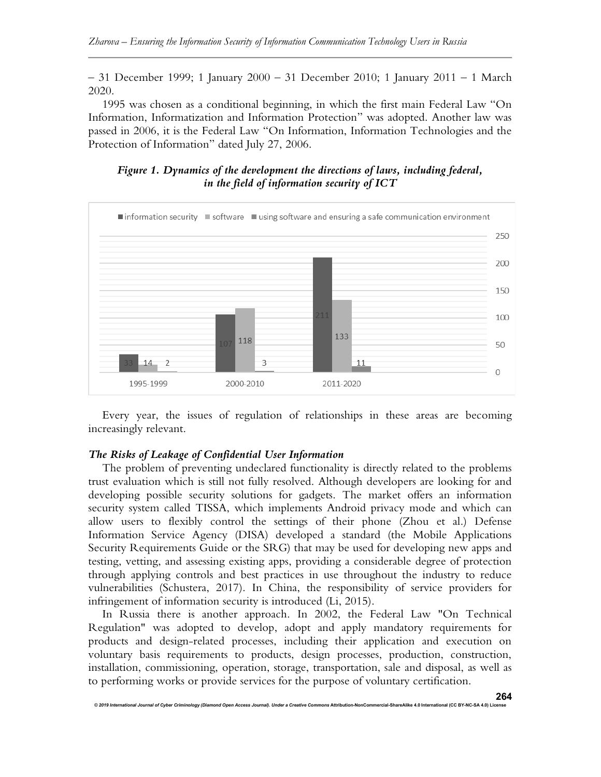– 31 December 1999; 1 January 2000 – 31 December 2010; 1 January 2011 – 1 March 2020.

1995 was chosen as a conditional beginning, in which the first main Federal Law "On Information, Informatization and Information Protection" was adopted. Another law was passed in 2006, it is the Federal Law "On Information, Information Technologies and the Protection of Information" dated July 27, 2006.

## Figure 1. Dynamics of the development the directions of laws, including federal, in the field of information security of ICT



Every year, the issues of regulation of relationships in these areas are becoming increasingly relevant.

### The Risks of Leakage of Confidential User Information

The problem of preventing undeclared functionality is directly related to the problems trust evaluation which is still not fully resolved. Although developers are looking for and developing possible security solutions for gadgets. The market offers an information security system called TISSA, which implements Android privacy mode and which can allow users to flexibly control the settings of their phone (Zhou et al.) Defense Information Service Agency (DISA) developed a standard (the Mobile Applications Security Requirements Guide or the SRG) that may be used for developing new apps and testing, vetting, and assessing existing apps, providing a considerable degree of protection through applying controls and best practices in use throughout the industry to reduce vulnerabilities (Schustera, 2017). In China, the responsibility of service providers for infringement of information security is introduced (Li, 2015).

In Russia there is another approach. In 2002, the Federal Law "On Technical Regulation" was adopted to develop, adopt and apply mandatory requirements for products and design-related processes, including their application and execution on voluntary basis requirements to products, design processes, production, construction, installation, commissioning, operation, storage, transportation, sale and disposal, as well as to performing works or provide services for the purpose of voluntary certification.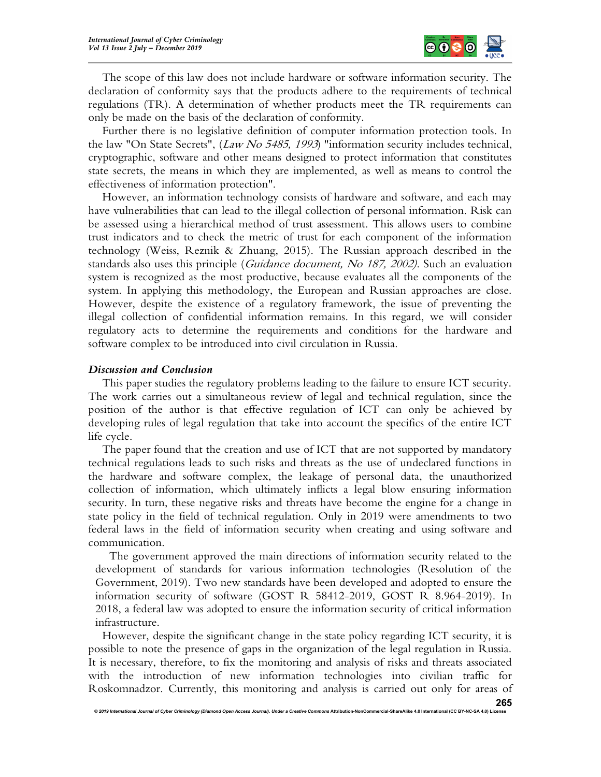

The scope of this law does not include hardware or software information security. The declaration of conformity says that the products adhere to the requirements of technical regulations (TR). A determination of whether products meet the TR requirements can only be made on the basis of the declaration of conformity.

Further there is no legislative definition of computer information protection tools. In the law "On State Secrets", (Law No 5485, 1993) "information security includes technical, cryptographic, software and other means designed to protect information that constitutes state secrets, the means in which they are implemented, as well as means to control the effectiveness of information protection".

However, an information technology consists of hardware and software, and each may have vulnerabilities that can lead to the illegal collection of personal information. Risk can be assessed using a hierarchical method of trust assessment. This allows users to combine trust indicators and to check the metric of trust for each component of the information technology (Weiss, Reznik & Zhuang, 2015). The Russian approach described in the standards also uses this principle (Guidance document, No 187, 2002). Such an evaluation system is recognized as the most productive, because evaluates all the components of the system. In applying this methodology, the European and Russian approaches are close. However, despite the existence of a regulatory framework, the issue of preventing the illegal collection of confidential information remains. In this regard, we will consider regulatory acts to determine the requirements and conditions for the hardware and software complex to be introduced into civil circulation in Russia.

## Discussion and Conclusion

This paper studies the regulatory problems leading to the failure to ensure ICT security. The work carries out a simultaneous review of legal and technical regulation, since the position of the author is that effective regulation of ICT can only be achieved by developing rules of legal regulation that take into account the specifics of the entire ICT life cycle.

The paper found that the creation and use of ICT that are not supported by mandatory technical regulations leads to such risks and threats as the use of undeclared functions in the hardware and software complex, the leakage of personal data, the unauthorized collection of information, which ultimately inflicts a legal blow ensuring information security. In turn, these negative risks and threats have become the engine for a change in state policy in the field of technical regulation. Only in 2019 were amendments to two federal laws in the field of information security when creating and using software and communication.

The government approved the main directions of information security related to the development of standards for various information technologies (Resolution of the Government, 2019). Two new standards have been developed and adopted to ensure the information security of software (GOST R 58412-2019, GOST R 8.964-2019). In 2018, a federal law was adopted to ensure the information security of critical information infrastructure.

However, despite the significant change in the state policy regarding ICT security, it is possible to note the presence of gaps in the organization of the legal regulation in Russia. It is necessary, therefore, to fix the monitoring and analysis of risks and threats associated with the introduction of new information technologies into civilian traffic for Roskomnadzor. Currently, this monitoring and analysis is carried out only for areas of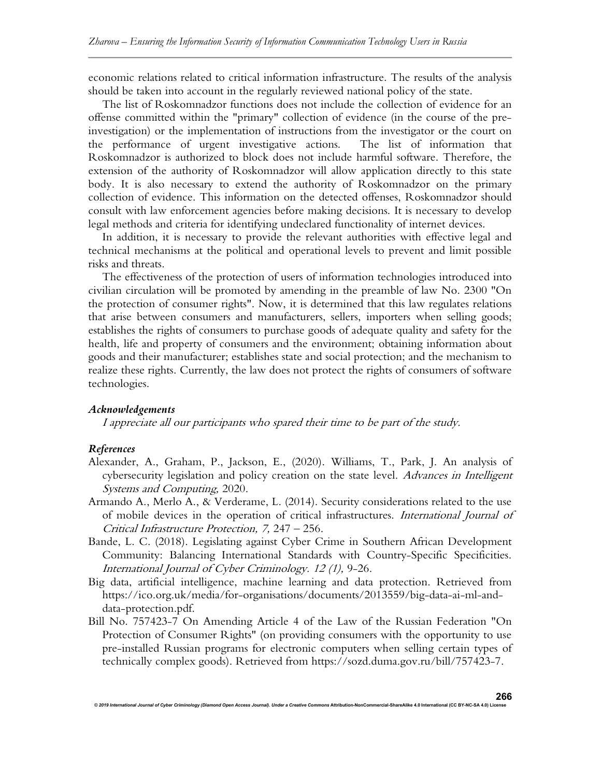economic relations related to critical information infrastructure. The results of the analysis should be taken into account in the regularly reviewed national policy of the state.

The list of Roskomnadzor functions does not include the collection of evidence for an offense committed within the "primary" collection of evidence (in the course of the preinvestigation) or the implementation of instructions from the investigator or the court on the performance of urgent investigative actions. The list of information that Roskomnadzor is authorized to block does not include harmful software. Therefore, the extension of the authority of Roskomnadzor will allow application directly to this state body. It is also necessary to extend the authority of Roskomnadzor on the primary collection of evidence. This information on the detected offenses, Roskomnadzor should consult with law enforcement agencies before making decisions. It is necessary to develop legal methods and criteria for identifying undeclared functionality of internet devices.

In addition, it is necessary to provide the relevant authorities with effective legal and technical mechanisms at the political and operational levels to prevent and limit possible risks and threats.

The effectiveness of the protection of users of information technologies introduced into civilian circulation will be promoted by amending in the preamble of law No. 2300 "On the protection of consumer rights". Now, it is determined that this law regulates relations that arise between consumers and manufacturers, sellers, importers when selling goods; establishes the rights of consumers to purchase goods of adequate quality and safety for the health, life and property of consumers and the environment; obtaining information about goods and their manufacturer; establishes state and social protection; and the mechanism to realize these rights. Currently, the law does not protect the rights of consumers of software technologies.

#### Acknowledgements

I appreciate all our participants who spared their time to be part of the study.

#### References

- Alexander, A., Graham, P., Jackson, E., (2020). Williams, T., Park, J. An analysis of cybersecurity legislation and policy creation on the state level. Advances in Intelligent Systems and Computing, 2020.
- Armando A., Merlo A., & Verderame, L. (2014). Security considerations related to the use of mobile devices in the operation of critical infrastructures. International Journal of Critical Infrastructure Protection, 7, 247 – 256.
- Bande, L. C. (2018). Legislating against Cyber Crime in Southern African Development Community: Balancing International Standards with Country-Specific Specificities. International Journal of Cyber Criminology. 12 (1), 9-26.
- Big data, artificial intelligence, machine learning and data protection. Retrieved from https://ico.org.uk/media/for-organisations/documents/2013559/big-data-ai-ml-anddata-protection.pdf.
- Bill No. 757423-7 On Amending Article 4 of the Law of the Russian Federation "On Protection of Consumer Rights" (on providing consumers with the opportunity to use pre-installed Russian programs for electronic computers when selling certain types of technically complex goods). Retrieved from https://sozd.duma.gov.ru/bill/757423-7.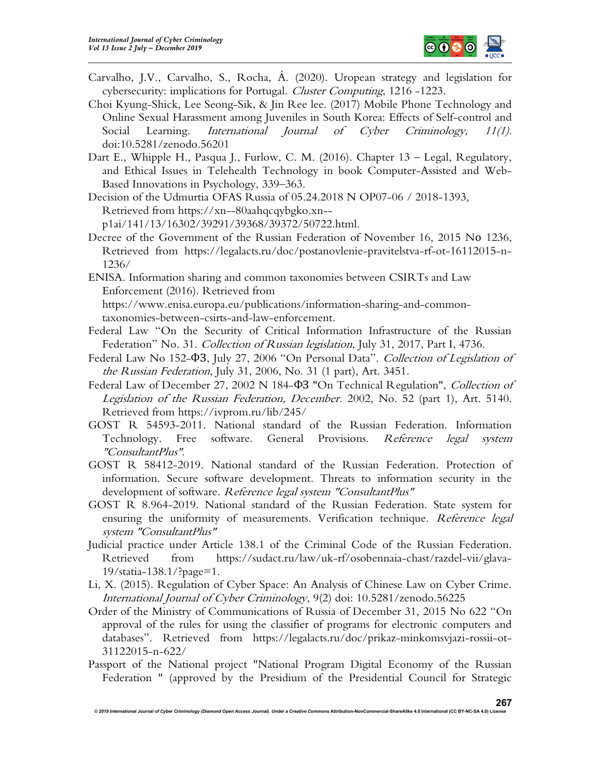

- Carvalho, J.V., Carvalho, S., Rocha, Á. (2020). Uropean strategy and legislation for cybersecurity: implications for Portugal. Cluster Computing, 1216 -1223.
- Choi Kyung-Shick, Lee Seong-Sik, & Jin Ree lee. (2017) Mobile Phone Technology and Online Sexual Harassment among Juveniles in South Korea: Effects of Self-control and Social Learning. *International Journal of Cyber Criminology*, 11(1). doi:10.5281/zenodo.56201
- Dart E., Whipple H., Pasqua J., Furlow, C. M. (2016). Chapter 13 Legal, Regulatory, and Ethical Issues in Telehealth Technology in book Computer-Assisted and Web-Based Innovations in Psychology, 339–363.

Decision of the Udmurtia OFAS Russia of 05.24.2018 N OP07-06 / 2018-1393, Retrieved from https://xn--80aahqcqybgko.xn- p1ai/141/13/16302/39291/39368/39372/50722.html.

Decree of the Government of the Russian Federation of November 16, 2015 Nо 1236, Retrieved from https://legalacts.ru/doc/postanovlenie-pravitelstva-rf-ot-16112015-n-1236/

ENISA. Information sharing and common taxonomies between CSIRTs and Law Enforcement (2016). Retrieved from

https://www.enisa.europa.eu/publications/information-sharing-and-commontaxonomies-between-csirts-and-law-enforcement.

- Federal Law "On the Security of Critical Information Infrastructure of the Russian Federation" No. 31. Collection of Russian legislation, July 31, 2017, Part I, 4736.
- Federal Law No 152- $\Phi$ 3, July 27, 2006 "On Personal Data". Collection of Legislation of the Russian Federation, July 31, 2006, No. 31 (1 part), Art. 3451.
- Federal Law of December 27, 2002 N 184- $\Phi$ 3 "On Technical Regulation", Collection of Legislation of the Russian Federation, December. 2002, No. 52 (part 1), Art. 5140. Retrieved from https://ivprom.ru/lib/245/
- GOST R 54593-2011. National standard of the Russian Federation. Information Technology. Free software. General Provisions. Reference legal system "ConsultantPlus".
- GOST R 58412-2019. National standard of the Russian Federation. Protection of information. Secure software development. Threats to information security in the development of software. Reference legal system "ConsultantPlus"
- GOST R 8.964-2019. National standard of the Russian Federation. State system for ensuring the uniformity of measurements. Verification technique. Reference legal system "ConsultantPlus"
- Judicial practice under Article 138.1 of the Criminal Code of the Russian Federation. Retrieved from https://sudact.ru/law/uk-rf/osobennaia-chast/razdel-vii/glava-19/statia-138.1/?page=1.
- Li, X. (2015). Regulation of Cyber Space: An Analysis of Chinese Law on Cyber Crime. International Journal of Cyber Criminology, 9(2) doi: 10.5281/zenodo.56225
- Order of the Ministry of Communications of Russia of December 31, 2015 No 622 "On approval of the rules for using the classifier of programs for electronic computers and databases". Retrieved from https://legalacts.ru/doc/prikaz-minkomsvjazi-rossii-ot-31122015-n-622/
- Passport of the National project "National Program Digital Economy of the Russian Federation " (approved by the Presidium of the Presidential Council for Strategic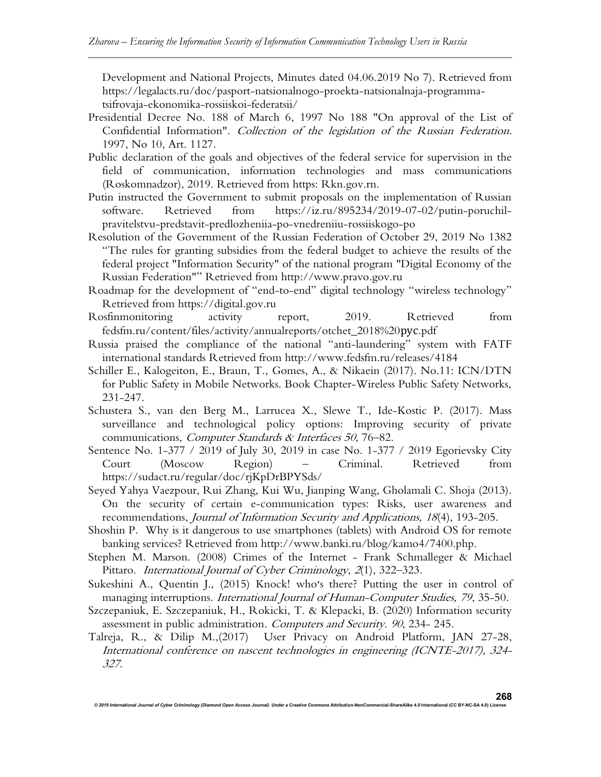Development and National Projects, Minutes dated 04.06.2019 No 7). Retrieved from https://legalacts.ru/doc/pasport-natsionalnogo-proekta-natsionalnaja-programmatsifrovaja-ekonomika-rossiiskoi-federatsii/

- Presidential Decree No. 188 of March 6, 1997 No 188 "On approval of the List of Confidential Information". Collection of the legislation of the Russian Federation. 1997, No 10, Art. 1127.
- Public declaration of the goals and objectives of the federal service for supervision in the field of communication, information technologies and mass communications (Roskomnadzor), 2019. Retrieved from https: Rkn.gov.rn.
- Putin instructed the Government to submit proposals on the implementation of Russian software. Retrieved from https://iz.ru/895234/2019-07-02/putin-poruchilpravitelstvu-predstavit-predlozheniia-po-vnedreniiu-rossiiskogo-po
- Resolution of the Government of the Russian Federation of October 29, 2019 No 1382 "The rules for granting subsidies from the federal budget to achieve the results of the federal project "Information Security" of the national program "Digital Economy of the Russian Federation"" Retrieved from http://www.pravo.gov.ru
- Roadmap for the development of "end-to-end" digital technology "wireless technology" Retrieved from https://digital.gov.ru
- Rosfinmonitoring activity report, 2019. Retrieved from fedsfm.ru/content/files/activity/annualreports/otchet\_2018%20рус.pdf
- Russia praised the compliance of the national "anti-laundering" system with FATF international standards Retrieved from http://www.fedsfm.ru/releases/4184
- Schiller E., Kalogeiton, E., Braun, T., Gomes, A., & Nikaein (2017). No.11: ICN/DTN for Public Safety in Mobile Networks. Book Chapter-Wireless Public Safety Networks, 231-247.
- Schustera S., van den Berg M., Larrucea X., Slewe T., Ide-Kostic P. (2017). Mass surveillance and technological policy options: Improving security of private communications, Computer Standards & Interfaces 50, 76-82.
- Sentence No. 1-377 / 2019 of July 30, 2019 in case No. 1-377 / 2019 Egorievsky City Court (Moscow Region) – Criminal. Retrieved from https://sudact.ru/regular/doc/rjKpDrBPYSds/
- Seyed Yahya Vaezpour, Rui Zhang, Kui Wu, Jianping Wang, Gholamali C. Shoja (2013). On the security of certain e-communication types: Risks, user awareness and recommendations, Journal of Information Security and Applications, 18(4), 193-205.
- Shoshin P. Why is it dangerous to use smartphones (tablets) with Android OS for remote banking services? Retrieved from http://www.banki.ru/blog/kamo4/7400.php.
- Stephen M. Marson. (2008) Crimes of the Internet Frank Schmalleger & Michael Pittaro. International Journal of Cyber Criminology, 2(1), 322-323.
- Sukeshini A., Quentin J., (2015) Knock! who׳s there? Putting the user in control of managing interruptions. International Journal of Human-Computer Studies, 79, 35-50.
- Szczepaniuk, E. Szczepaniuk, H., Rokicki, T. & Klepacki, B. (2020) Information security assessment in public administration. Computers and Security. 90, 234-245.
- Talreja, R., & Dilip M.,(2017) User Privacy on Android Platform, JAN 27-28, International conference on nascent technologies in engineering (ICNTE-2017), 324- 327.

© 2019 International Journal of Cyber Criminology (Diamond Open Access Journal). Under a Creative Commons Attribution-NonCommercial-ShareAlike 4.0 International (CC BY-NC-SA 4.0) License 268